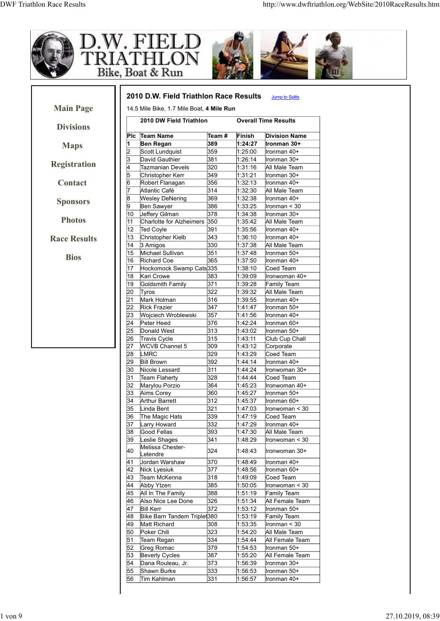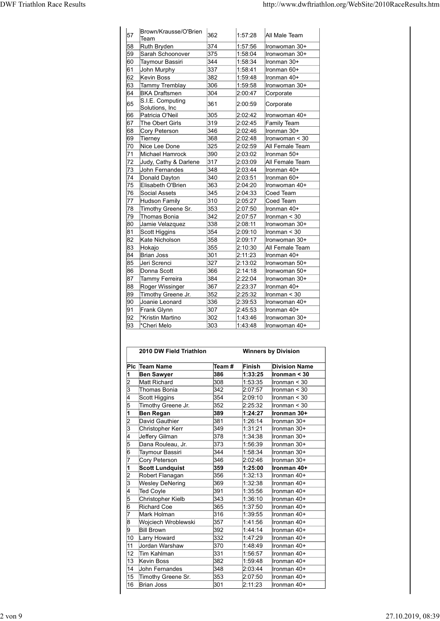| <b>DWF Triathlon Race Results</b> |                                        |            |                    | http://www.dwftriathlon.org/WebSite/2010RaceResults.htm |
|-----------------------------------|----------------------------------------|------------|--------------------|---------------------------------------------------------|
|                                   |                                        |            |                    |                                                         |
| 57                                | Brown/Krausse/O'Brien                  | 362        | 1:57:28            | All Male Team                                           |
| 58                                | Team<br>Ruth Bryden                    | 374        | 1:57:56            | Ironwoman 30+                                           |
| 59                                | Sarah Schoonover                       | 375        | 1.58.04            | Ironwoman 30+                                           |
| 60<br>61                          | Taymour Bassiri<br>John Murphy         | 344<br>337 | 1:58:34<br>1:58:41 | Ironman 30+<br>Ironman 60+                              |
| 62                                | Kevin Boss                             | 382        | 1:59:48            | Ironman 40+                                             |
| 63<br>64                          | Tammy Tremblay<br><b>BKA Draftsmen</b> | 306<br>304 | 1:59:58            | Ironwoman 30+                                           |
| 65                                | S.I.E. Computing                       | 361        | 2:00:47<br>2:00:59 | Corporate                                               |
|                                   | Solutions, Inc.                        |            |                    | Corporate                                               |
| 66<br>67                          | Patricia O'Neil<br>The Obert Girls     | 305<br>319 | 2:02:42<br>2:02:45 | Ironwoman 40+<br>Family Team                            |
| 68                                | Cory Peterson                          | 346        | 2:02:46            | Ironman 30+                                             |
| 69<br>70                          | Tierney<br>Nice Lee Done               | 368<br>325 | 2:02:48<br>2:02:59 | Ironwoman < 30<br>All Female Team                       |
| 71                                | Michael Hamrock                        | 390        | 2:03:02            | Ironman 50+                                             |
| 72                                | Judy, Cathy & Darlene                  | 317        | 2:03:09            | All Female Team                                         |
| 73<br>74                          | John Fernandes<br>Donald Dayton        | 348<br>340 | 2:03:44<br>2:03:51 | Ironman 40+<br>Ironman 60+                              |
| 75                                | Elisabeth O'Brien                      | 363        | 2:04:20            | Ironwoman 40+                                           |
| 76                                | Social Assets                          | 345        | 2:04:33            | Coed Team                                               |
| 77<br>78                          | Hudson Family<br>Timothy Greene Sr.    | 310<br>353 | 2:05:27<br>2:07:50 | Coed Team<br>Ironman 40+                                |
| 79                                | Thomas Bonia                           | 342        | 2:07:57            | $l$ ronman < 30                                         |
| 180                               | Jamie Velazquez                        | 338        | 2:08:11            | Ironwoman 30+                                           |
| 81<br>82                          | Scott Higgins<br>Kate Nicholson        | 354<br>358 | 2:09:10<br>2:09:17 | $l$ ronman < 30<br>Ironwoman 30+                        |
| 83                                | Hokajo                                 | 355        | 2:10:30            | All Female Team                                         |
| 84<br>85                          | Brian Joss<br>Jeri Screnci             | 301<br>327 | 2:11:23<br>2:13:02 | Ironman 40+<br>Ironwoman 50+                            |
| 86                                | Donna Scott                            | 366        | 2:14:18            | Ironwoman 50+                                           |
| 87<br>88                          | Tammy Ferreira<br>Roger Wissinger      | 384<br>367 | 2:22:04<br>2:23:37 | Ironwoman 30+<br>Ironman 40+                            |
| 89                                | Timothy Greene Jr.                     | 352        | 2:25:32            | $l$ ronman < 30                                         |
| 90<br>91                          | Joanie Leonard<br>Frank Glynn          | 336<br>307 | 2:39:53<br>2:45:53 | Ironwoman 40+<br>Ironman 40+                            |
| 92                                | *Kristin Martino                       | 302        | 1:43:46            | Ironwoman 30+                                           |
| 93                                | *Cheri Melo                            | 303        | 1:43:48            | Ironwoman 40+                                           |
|                                   |                                        |            |                    |                                                         |
|                                   | 2010 DW Field Triathlon                |            |                    | <b>Winners by Division</b>                              |
|                                   | Plc Team Name                          | Team#      | Finish             | <b>Division Name</b>                                    |
| $\mathsf{2}$                      | <b>Ben Sawyer</b><br>Matt Richard      | 386<br>308 | 1:33:25<br>1:53:35 | Ironman $<$ 30<br>Ironman < 30                          |
| l3                                | Thomas Bonia                           | 342        | 2:07:57            | Ironman < 30                                            |
|                                   | Scott Higgins<br>Timothy Greene Jr.    | 354<br>352 | 2:09:10<br>2:25:32 | Ironman < 30<br>Ironman $<$ 30                          |
|                                   | <b>Ben Regan</b>                       | 389        | 1:24:27            | Ironman 30+                                             |
|                                   | David Gauthier                         | 381        | 1:26:14            | Ironman 30+                                             |
|                                   |                                        |            | 1:31:21            | Ironman 30+                                             |
| 3                                 | Christopher Kerr                       | 349        |                    |                                                         |
| 5                                 | Jeffery Gilman<br>Dana Rouleau, Jr.    | 378<br>373 | 1:34:38<br>1:56:39 | Ironman 30+<br>Ironman 30+                              |

|                                         |                                                                                                                                                                                                                                                                                                                                                                                                                                                                                                                                                                                                                 |                                                                                                                                                                                                                                                         | Ironwoman 30+                                                                                                                                                                                                                                                                                                                                                |
|-----------------------------------------|-----------------------------------------------------------------------------------------------------------------------------------------------------------------------------------------------------------------------------------------------------------------------------------------------------------------------------------------------------------------------------------------------------------------------------------------------------------------------------------------------------------------------------------------------------------------------------------------------------------------|---------------------------------------------------------------------------------------------------------------------------------------------------------------------------------------------------------------------------------------------------------|--------------------------------------------------------------------------------------------------------------------------------------------------------------------------------------------------------------------------------------------------------------------------------------------------------------------------------------------------------------|
|                                         |                                                                                                                                                                                                                                                                                                                                                                                                                                                                                                                                                                                                                 |                                                                                                                                                                                                                                                         | Ironman $<$ 30                                                                                                                                                                                                                                                                                                                                               |
|                                         |                                                                                                                                                                                                                                                                                                                                                                                                                                                                                                                                                                                                                 |                                                                                                                                                                                                                                                         | Ironwoman 30+                                                                                                                                                                                                                                                                                                                                                |
|                                         |                                                                                                                                                                                                                                                                                                                                                                                                                                                                                                                                                                                                                 |                                                                                                                                                                                                                                                         | All Female Team                                                                                                                                                                                                                                                                                                                                              |
|                                         |                                                                                                                                                                                                                                                                                                                                                                                                                                                                                                                                                                                                                 |                                                                                                                                                                                                                                                         | Ironman 40+                                                                                                                                                                                                                                                                                                                                                  |
|                                         |                                                                                                                                                                                                                                                                                                                                                                                                                                                                                                                                                                                                                 |                                                                                                                                                                                                                                                         |                                                                                                                                                                                                                                                                                                                                                              |
|                                         |                                                                                                                                                                                                                                                                                                                                                                                                                                                                                                                                                                                                                 |                                                                                                                                                                                                                                                         | Ironwoman 50+                                                                                                                                                                                                                                                                                                                                                |
|                                         |                                                                                                                                                                                                                                                                                                                                                                                                                                                                                                                                                                                                                 |                                                                                                                                                                                                                                                         | Ironwoman 50+                                                                                                                                                                                                                                                                                                                                                |
|                                         |                                                                                                                                                                                                                                                                                                                                                                                                                                                                                                                                                                                                                 |                                                                                                                                                                                                                                                         | Ironwoman 30+                                                                                                                                                                                                                                                                                                                                                |
|                                         |                                                                                                                                                                                                                                                                                                                                                                                                                                                                                                                                                                                                                 |                                                                                                                                                                                                                                                         | Ironman 40+                                                                                                                                                                                                                                                                                                                                                  |
|                                         |                                                                                                                                                                                                                                                                                                                                                                                                                                                                                                                                                                                                                 |                                                                                                                                                                                                                                                         | Ironman $<$ 30                                                                                                                                                                                                                                                                                                                                               |
|                                         |                                                                                                                                                                                                                                                                                                                                                                                                                                                                                                                                                                                                                 |                                                                                                                                                                                                                                                         | Ironwoman 40+                                                                                                                                                                                                                                                                                                                                                |
|                                         |                                                                                                                                                                                                                                                                                                                                                                                                                                                                                                                                                                                                                 |                                                                                                                                                                                                                                                         | Ironman 40+                                                                                                                                                                                                                                                                                                                                                  |
|                                         |                                                                                                                                                                                                                                                                                                                                                                                                                                                                                                                                                                                                                 |                                                                                                                                                                                                                                                         | Ironwoman 30+                                                                                                                                                                                                                                                                                                                                                |
|                                         |                                                                                                                                                                                                                                                                                                                                                                                                                                                                                                                                                                                                                 |                                                                                                                                                                                                                                                         | Ironwoman 40+                                                                                                                                                                                                                                                                                                                                                |
|                                         |                                                                                                                                                                                                                                                                                                                                                                                                                                                                                                                                                                                                                 |                                                                                                                                                                                                                                                         | <b>Winners by Division</b>                                                                                                                                                                                                                                                                                                                                   |
| Plc Team Name                           | Team#                                                                                                                                                                                                                                                                                                                                                                                                                                                                                                                                                                                                           | Finish                                                                                                                                                                                                                                                  | <b>Division Name</b>                                                                                                                                                                                                                                                                                                                                         |
|                                         | 386                                                                                                                                                                                                                                                                                                                                                                                                                                                                                                                                                                                                             | 1:33:25                                                                                                                                                                                                                                                 | Ironman < 30                                                                                                                                                                                                                                                                                                                                                 |
|                                         |                                                                                                                                                                                                                                                                                                                                                                                                                                                                                                                                                                                                                 |                                                                                                                                                                                                                                                         | Ironman < 30                                                                                                                                                                                                                                                                                                                                                 |
|                                         |                                                                                                                                                                                                                                                                                                                                                                                                                                                                                                                                                                                                                 |                                                                                                                                                                                                                                                         | Ironman < 30                                                                                                                                                                                                                                                                                                                                                 |
|                                         |                                                                                                                                                                                                                                                                                                                                                                                                                                                                                                                                                                                                                 |                                                                                                                                                                                                                                                         | Ironman < 30                                                                                                                                                                                                                                                                                                                                                 |
|                                         |                                                                                                                                                                                                                                                                                                                                                                                                                                                                                                                                                                                                                 |                                                                                                                                                                                                                                                         | Ironman < 30                                                                                                                                                                                                                                                                                                                                                 |
|                                         |                                                                                                                                                                                                                                                                                                                                                                                                                                                                                                                                                                                                                 |                                                                                                                                                                                                                                                         | Ironman 30+                                                                                                                                                                                                                                                                                                                                                  |
|                                         |                                                                                                                                                                                                                                                                                                                                                                                                                                                                                                                                                                                                                 |                                                                                                                                                                                                                                                         | Ironman 30+                                                                                                                                                                                                                                                                                                                                                  |
|                                         |                                                                                                                                                                                                                                                                                                                                                                                                                                                                                                                                                                                                                 |                                                                                                                                                                                                                                                         | Ironman 30+                                                                                                                                                                                                                                                                                                                                                  |
|                                         |                                                                                                                                                                                                                                                                                                                                                                                                                                                                                                                                                                                                                 |                                                                                                                                                                                                                                                         | Ironman 30+                                                                                                                                                                                                                                                                                                                                                  |
|                                         |                                                                                                                                                                                                                                                                                                                                                                                                                                                                                                                                                                                                                 |                                                                                                                                                                                                                                                         | Ironman 30+                                                                                                                                                                                                                                                                                                                                                  |
|                                         |                                                                                                                                                                                                                                                                                                                                                                                                                                                                                                                                                                                                                 |                                                                                                                                                                                                                                                         | Ironman 30+                                                                                                                                                                                                                                                                                                                                                  |
|                                         |                                                                                                                                                                                                                                                                                                                                                                                                                                                                                                                                                                                                                 |                                                                                                                                                                                                                                                         |                                                                                                                                                                                                                                                                                                                                                              |
|                                         |                                                                                                                                                                                                                                                                                                                                                                                                                                                                                                                                                                                                                 |                                                                                                                                                                                                                                                         | Ironman 30+                                                                                                                                                                                                                                                                                                                                                  |
|                                         |                                                                                                                                                                                                                                                                                                                                                                                                                                                                                                                                                                                                                 |                                                                                                                                                                                                                                                         | Ironman 40+                                                                                                                                                                                                                                                                                                                                                  |
|                                         |                                                                                                                                                                                                                                                                                                                                                                                                                                                                                                                                                                                                                 |                                                                                                                                                                                                                                                         | Ironman 40+                                                                                                                                                                                                                                                                                                                                                  |
|                                         |                                                                                                                                                                                                                                                                                                                                                                                                                                                                                                                                                                                                                 |                                                                                                                                                                                                                                                         | Ironman 40+                                                                                                                                                                                                                                                                                                                                                  |
|                                         |                                                                                                                                                                                                                                                                                                                                                                                                                                                                                                                                                                                                                 |                                                                                                                                                                                                                                                         | Ironman 40+                                                                                                                                                                                                                                                                                                                                                  |
|                                         |                                                                                                                                                                                                                                                                                                                                                                                                                                                                                                                                                                                                                 |                                                                                                                                                                                                                                                         | Ironman 40+                                                                                                                                                                                                                                                                                                                                                  |
| Richard Coe                             | 365                                                                                                                                                                                                                                                                                                                                                                                                                                                                                                                                                                                                             | 1:37:50                                                                                                                                                                                                                                                 | Ironman 40+                                                                                                                                                                                                                                                                                                                                                  |
| Mark Holman                             | 316                                                                                                                                                                                                                                                                                                                                                                                                                                                                                                                                                                                                             | 1:39:55                                                                                                                                                                                                                                                 | Ironman 40+                                                                                                                                                                                                                                                                                                                                                  |
| Wojciech Wroblewski                     | 357                                                                                                                                                                                                                                                                                                                                                                                                                                                                                                                                                                                                             | 1:41:56                                                                                                                                                                                                                                                 | Ironman 40+                                                                                                                                                                                                                                                                                                                                                  |
| <b>Bill Brown</b>                       | 392                                                                                                                                                                                                                                                                                                                                                                                                                                                                                                                                                                                                             | 1.44.14                                                                                                                                                                                                                                                 | Ironman 40+                                                                                                                                                                                                                                                                                                                                                  |
| Larry Howard                            | 332                                                                                                                                                                                                                                                                                                                                                                                                                                                                                                                                                                                                             | 1:47:29                                                                                                                                                                                                                                                 | Ironman 40+                                                                                                                                                                                                                                                                                                                                                  |
| Jordan Warshaw                          | 370                                                                                                                                                                                                                                                                                                                                                                                                                                                                                                                                                                                                             | 1.48.49                                                                                                                                                                                                                                                 | Ironman 40+                                                                                                                                                                                                                                                                                                                                                  |
|                                         |                                                                                                                                                                                                                                                                                                                                                                                                                                                                                                                                                                                                                 |                                                                                                                                                                                                                                                         | Ironman 40+                                                                                                                                                                                                                                                                                                                                                  |
|                                         |                                                                                                                                                                                                                                                                                                                                                                                                                                                                                                                                                                                                                 |                                                                                                                                                                                                                                                         | Ironman 40+                                                                                                                                                                                                                                                                                                                                                  |
| John Fernandes                          | 348                                                                                                                                                                                                                                                                                                                                                                                                                                                                                                                                                                                                             | 2:03:44                                                                                                                                                                                                                                                 | Ironman 40+                                                                                                                                                                                                                                                                                                                                                  |
|                                         | 353                                                                                                                                                                                                                                                                                                                                                                                                                                                                                                                                                                                                             | 2:07:50                                                                                                                                                                                                                                                 | Ironman 40+                                                                                                                                                                                                                                                                                                                                                  |
|                                         |                                                                                                                                                                                                                                                                                                                                                                                                                                                                                                                                                                                                                 | 2:11:23                                                                                                                                                                                                                                                 | Ironman 40+                                                                                                                                                                                                                                                                                                                                                  |
| Timothy Greene Sr.<br><b>Brian Joss</b> | 301                                                                                                                                                                                                                                                                                                                                                                                                                                                                                                                                                                                                             |                                                                                                                                                                                                                                                         |                                                                                                                                                                                                                                                                                                                                                              |
|                                         | Jamie Velazquez<br>Scott Higgins<br>Kate Nicholson<br>Hokajo<br>Brian Joss<br>Jeri Screnci<br>Donna Scott<br>Tammy Ferreira<br>Roger Wissinger<br>Timothy Greene Jr.<br>Joanie Leonard<br>Frank Glynn<br>*Kristin Martino<br>*Cheri Melo<br><b>Ben Sawyer</b><br>Matt Richard<br>Thomas Bonia<br>Scott Higgins<br>Timothy Greene Jr.<br><b>Ben Regan</b><br>David Gauthier<br>Christopher Kerr<br>Jeffery Gilman<br>Dana Rouleau, Jr.<br>Taymour Bassiri<br>Cory Peterson<br><b>Scott Lundquist</b><br>Robert Flanagan<br><b>Wesley DeNering</b><br>Ted Coyle<br>Christopher Kielb<br>Tim Kahlman<br>Kevin Boss | 338<br>354<br>358<br>355<br>301<br>327<br>366<br>384<br>367<br>352<br>336<br>307<br>302<br>303<br>2010 DW Field Triathlon<br>308<br>342<br>354<br>352<br>389<br>381<br>349<br>378<br>373<br>344<br>346<br>359<br>356<br>369<br>391<br>343<br>331<br>382 | 2:08:11<br>2:09:10<br>2:09:17<br>2:10:30<br>2:11:23<br>2:13:02<br>2:14:18<br>2:22:04<br>2:23:37<br>2:25:32<br>2:39:53<br>2:45:53<br>1:43:46<br>1:43:48<br>1:53:35<br>2:07:57<br>2:09:10<br>2:25:32<br>1:24:27<br>1:26:14<br>1:31:21<br>1:34:38<br>1:56:39<br>1:58:34<br>2:02:46<br>1:25:00<br>1:32:13<br>1:32:38<br>1:35:56<br>1:36:10<br>1:56:57<br>1:59:48 |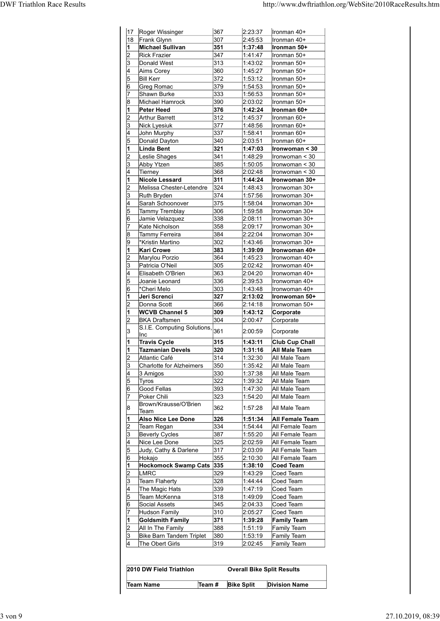| 18 |                                                     |            |                    |                                                         |
|----|-----------------------------------------------------|------------|--------------------|---------------------------------------------------------|
|    |                                                     |            |                    |                                                         |
|    |                                                     |            |                    |                                                         |
|    |                                                     |            |                    | http://www.dwftriathlon.org/WebSite/2010RaceResults.htm |
|    |                                                     |            |                    |                                                         |
|    | 17 Roger Wissinger<br>Frank Glynn                   | 367<br>307 | 2:23:37<br>2:45:53 | Ironman 40+<br>Ironman 40+                              |
|    | <b>Michael Sullivan</b><br><b>Rick Frazier</b>      | 351<br>347 | 1:37:48<br>1:41:47 | Ironman 50+<br>Ironman 50+                              |
|    | Donald West                                         | 313        | 1:43:02            | Ironman 50+                                             |
|    | Aims Corey<br><b>Bill Kerr</b>                      | 360<br>372 | 1.45.27<br>1:53:12 | Ironman 50+<br>Ironman 50+                              |
|    | Greg Romac                                          | 379        | 1.54.53            | Ironman 50+                                             |
|    | Shawn Burke<br>Michael Hamrock                      | 333<br>390 | 1:56:53<br>2:03:02 | Ironman 50+<br>Ironman 50+                              |
|    | Peter Heed<br><b>Arthur Barrett</b>                 | 376<br>312 | 1:42:24<br>1:45:37 | Ironman 60+<br>Ironman 60+                              |
|    | Nick Lyesiuk                                        | 377        | 1:48:56            | Ironman 60+                                             |
| 5  | John Murphy<br>Donald Dayton                        | 337<br>340 | 1:58:41<br>2:03:51 | Ironman 60+<br>Ironman 60+                              |
|    | Linda Bent<br>Leslie Shages                         | 321<br>341 | 1:47:03<br>1:48:29 | $ $ Ironwoman < 30                                      |
| l3 | Abby Ytzen                                          | 385        | 1:50:05            | Ironwoman < 30<br>Ironwoman < 30                        |
|    | Tierney<br>Nicole Lessard                           | 368<br>311 | 2:02:48<br>1:44:24 | Ironwoman < 30<br>Ironwoman 30+                         |
|    | Melissa Chester-Letendre                            | 324        | 1:48:43            | Ironwoman 30+                                           |
|    | Ruth Bryden<br>Sarah Schoonover                     | 374<br>375 | 1:57:56<br>1.58.04 | Ironwoman 30+<br>Ironwoman 30+                          |
| 15 | Tammy Tremblay<br>Jamie Velazquez                   | 306<br>338 | 1:59:58<br>2:08:11 | Ironwoman 30+<br>Ironwoman 30+                          |
|    | Kate Nicholson                                      | 358        | 2:09:17            | Ironwoman 30+                                           |
|    | Tammy Ferreira<br>*Kristin Martino                  | 384<br>302 | 2:22:04<br>1:43:46 | Ironwoman 30+<br>Ironwoman 30+                          |
|    | <b>Kari Crowe</b>                                   | 383        | 1:39:09            | Ironwoman 40+                                           |
|    | Marylou Porzio<br>Patricia O'Neil                   | 364<br>305 | 1:45:23<br>2:02:42 | Ironwoman 40+<br>Ironwoman 40+                          |
|    | Elisabeth O'Brien                                   | 363        | 2:04:20            | Ironwoman 40+                                           |
|    | Joanie Leonard<br>*Cheri Melo                       | 336<br>303 | 2:39:53<br>1:43:48 | Ironwoman 40+<br>Ironwoman 40+                          |
|    | Jeri Screnci<br>Donna Scott                         | 327<br>366 | 2:13:02<br>2:14:18 | Ironwoman 50+<br>Ironwoman 50+                          |
|    | <b>WCVB Channel 5</b>                               | 309        | 1:43:12            | Corporate                                               |
|    | <b>BKA Draftsmen</b><br>S.I.E. Computing Solutions, | 304<br>361 | 2:00:47            | Corporate                                               |
|    | Inc<br>Travis Cycle                                 | 315        | 2:00:59<br>1:43:11 | Corporate<br>Club Cup Chall                             |
|    | <b>Tazmanian Devels</b>                             | 320        | 1:31:16            | <b>All Male Team</b>                                    |
|    | Atlantic Café<br>Charlotte for Alzheimers           | 314<br>350 | 1:32:30<br>1:35:42 | All Male Team<br>All Male Team                          |
| 15 | 3 Amigos                                            | 330<br>322 | 1:37:38<br>1:39:32 | All Male Team                                           |
|    | <b>Tyros</b><br>Good Fellas                         | 393        | 1:47:30            | All Male Team<br>All Male Team                          |
|    | Poker Chili<br>Brown/Krausse/O'Brien                | 323        | 1:54:20            | All Male Team                                           |
|    | Team<br>Also Nice Lee Done                          | 362<br>326 | 1:57:28<br>1:51:34 | All Male Team<br><b>All Female Team</b>                 |
|    | Team Regan                                          | 334        | 1:54:44            | All Female Team                                         |
|    | <b>Beverly Cycles</b><br>Nice Lee Done              | 387<br>325 | 1:55:20<br>2:02:59 | All Female Team<br>All Female Team                      |
|    | Judy, Cathy & Darlene                               | 317        | 2:03:09            | All Female Team                                         |
|    | Hokajo<br>Hockomock Swamp Cats 335                  | 355        | 2:10:30<br>1:38:10 | All Female Team<br>Coed Team                            |
| 2  | LMRC                                                | 329        | 1:43:29            | Coed Team                                               |
| 3  | Team Flaherty<br>The Magic Hats                     | 328<br>339 | 1:44:44<br>1:47:19 | Coed Team<br>Coed Team                                  |
|    | Team McKenna<br>Social Assets                       | 318<br>345 | 1:49:09<br>2:04:33 | Coed Team<br>Coed Team                                  |
|    | <b>Hudson Family</b>                                | 310        | 2:05:27            | Coed Team                                               |
|    | <b>Goldsmith Family</b><br>All In The Family        | 371<br>388 | 1:39:28<br>1:51:19 | <b>Family Team</b><br>Family Team                       |
| 3  | Bike Barn Tandem Triplet                            | 380        | 1:53:19            | Family Team                                             |
|    | The Obert Girls                                     | 319        | 2:02:45            | Family Team                                             |
|    |                                                     |            |                    |                                                         |
|    | 2010 DW Field Triathlon                             |            |                    | <b>Overall Bike Split Results</b>                       |
|    |                                                     |            |                    |                                                         |
|    | Team $#$<br><b>Team Name</b>                        |            | <b>Bike Split</b>  | <b>Division Name</b>                                    |

| 2010 DW Field Triathlon |        | <b>Overall Bike Split Results</b> |                      |
|-------------------------|--------|-----------------------------------|----------------------|
| Team Name               | Team # | <b>Bike Split</b>                 | <b>Division Name</b> |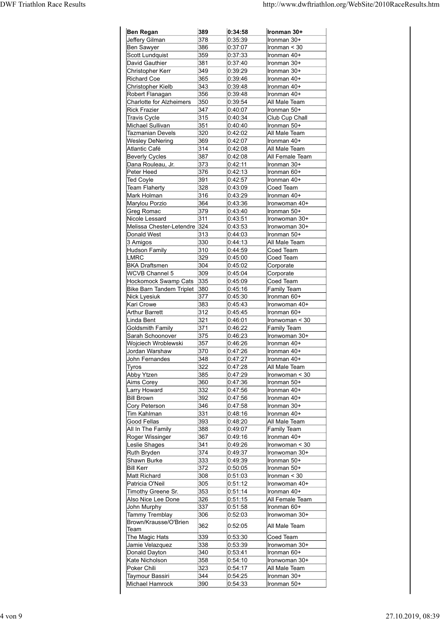|                              |            |         | http://www.dwftriathlon.org/WebSite/2010RaceResults.htm |
|------------------------------|------------|---------|---------------------------------------------------------|
|                              |            |         |                                                         |
| <b>Ben Regan</b>             | 389        | 0:34:58 | Ironman 30+                                             |
| Jeffery Gilman               | 378        | 0:35:39 | Ironman 30+                                             |
| Ben Sawyer                   | 386        | 0.37:07 | Ironman < 30                                            |
| Scott Lundquist              | 359        | 0:37:33 | Ironman 40+                                             |
| David Gauthier               | 381        | 0:37:40 | Ironman 30+                                             |
| Christopher Kerr             | 349        | 0:39:29 | Ironman 30+                                             |
| Richard Coe                  | 365        | 0:39:46 | Ironman 40+                                             |
| Christopher Kielb            | 343        | 0.39.48 | Ironman 40+                                             |
| Robert Flanagan              | 356        | 0.39.48 | Ironman 40+                                             |
| Charlotte for Alzheimers     | 350        | 0.39.54 | All Male Team                                           |
| <b>Rick Frazier</b>          | 347        | 0:40:07 | Ironman 50+                                             |
| <b>Travis Cycle</b>          | 315        | 0:40:34 | Club Cup Chall                                          |
| Michael Sullivan             | 351        | 0.40.40 | Ironman 50+                                             |
| Tazmanian Devels             | 320        | 0.42:02 | All Male Team                                           |
| <b>Wesley DeNering</b>       | 369        | 0.42:07 | Ironman 40+                                             |
| Atlantic Café                | 314        | 0.42:08 | All Male Team                                           |
| <b>Beverly Cycles</b>        | 387        | 0.42:08 | All Female Team                                         |
| Dana Rouleau, Jr.            | 373        | 0:42:11 | Ironman 30+                                             |
| Peter Heed                   | 376        | 0:42:13 | Ironman 60+                                             |
| Ted Coyle                    | 391        | 0.42:57 | Ironman 40+                                             |
| Team Flaherty                | 328        | 0.43.09 | Coed Team                                               |
| Mark Holman                  | 316        | 0.43.29 | Ironman 40+                                             |
| Marylou Porzio               | 364        | 0.43.36 | Ironwoman 40+                                           |
| Greg Romac                   | 379        | 0.43.40 | Ironman 50+                                             |
| Nicole Lessard               | 311        | 0.43.51 | Ironwoman 30+                                           |
| Melissa Chester-Letendre 324 |            | 0:43:53 | Ironwoman 30+                                           |
| Donald West                  | 313        | 0.44:03 | Ironman 50+                                             |
| 3 Amigos                     | 330        | 0:44:13 | All Male Team                                           |
| Hudson Family                | 310        | 0.44.59 | Coed Team                                               |
| LMRC                         | 329        | 0.45:00 | Coed Team                                               |
| <b>BKA Draftsmen</b>         | 304        | 0.45:02 | Corporate                                               |
| WCVB Channel 5               | 309        | 0.45.04 | Corporate                                               |
| Hockomock Swamp Cats 335     |            | 0:45:09 | Coed Team                                               |
| Bike Barn Tandem Triplet 380 |            | 0:45:16 | Family Team                                             |
| Nick Lyesiuk                 | 377<br>383 | 0:45:30 | Ironman 60+                                             |
| Kari Crowe                   | 312        | 0.45.43 | Ironwoman 40+                                           |
| <b>Arthur Barrett</b>        |            | 0.45.45 | Ironman 60+                                             |
| Linda Bent                   | 321        | 0.46:01 | $l$ ronwoman < 30                                       |
| Goldsmith Family             | 371        | 0:46:22 | Family Team                                             |
| Sarah Schoonover             | 375        | 0.46.23 | Ironwoman 30+                                           |
| Wojciech Wroblewski          | 357        | 0:46:26 | Ironman 40+                                             |
| Jordan Warshaw               | 370        | 0.47:26 | Ironman 40+                                             |
| John Fernandes               | 348        | 0:47:27 | Ironman 40+                                             |
| Tyros                        | 322        | 0.47.28 | All Male Team                                           |
| Abby Ytzen                   | 385        | 0.47.29 | Ironwoman < 30                                          |
| Aims Corey                   | 360        | 0.47.36 | Ironman 50+                                             |
| Larry Howard                 | 332        | 0.47:56 | Ironman 40+                                             |
| <b>Bill Brown</b>            | 392        | 0.47:56 | Ironman 40+                                             |
| Cory Peterson                | 346        | 0.47:58 | Ironman 30+                                             |
| Tim Kahlman                  | 331        | 0:48:16 | Ironman 40+                                             |
| Good Fellas                  | 393        | 0.48:20 | All Male Team                                           |
| All In The Family            | 388        | 0.49:07 | Family Team                                             |
| Roger Wissinger              | 367        | 0.49:16 | Ironman 40+                                             |
| Leslie Shages                | 341        | 0.49.26 | Ironwoman < 30                                          |
| Ruth Bryden                  | 374        | 0.49.37 | Ironwoman 30+                                           |
| Shawn Burke                  | 333        | 0.49.39 | Ironman 50+                                             |
| <b>Bill Kerr</b>             | 372        | 0.50.05 | Ironman 50+                                             |
| Matt Richard                 | 308        | 0:51:03 | Ironman $<$ 30                                          |
| Patricia O'Neil              | 305        | 0:51:12 | Ironwoman 40+                                           |
| Timothy Greene Sr.           | 353        | 0:51:14 | Ironman 40+                                             |
| Also Nice Lee Done           | 326        | 0:51:15 | All Female Team                                         |
| John Murphy                  | 337        | 0:51:58 | Ironman 60+                                             |
| Tammy Tremblay               | 306        | 0:52:03 | Ironwoman 30+                                           |
| Brown/Krausse/O'Brien        | 362        | 0:52:05 | All Male Team                                           |
| Team<br>The Magic Hats       | 339        | 0:53:30 | Coed Team                                               |
| Jamie Velazquez              | 338        | 0:53:39 | Ironwoman 30+                                           |
| Donald Dayton                | 340        | 0.53.41 | Ironman 60+                                             |
| Kate Nicholson               | 358        | 0:54:10 | Ironwoman 30+                                           |
| Poker Chili                  | 323        | 0:54:17 | All Male Team                                           |
| Taymour Bassiri              | 344        | 0:54:25 | Ironman 30+                                             |
|                              | 390        |         |                                                         |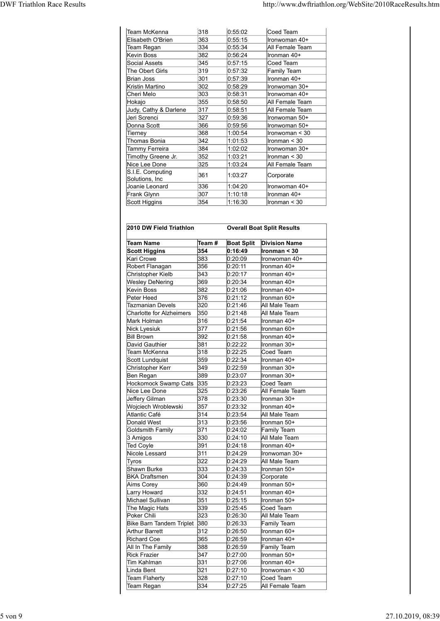| http://www.dwftriathlon.org/WebSite/2010RaceResults.htm<br>Team McKenna<br>318<br>0:55:02<br>Coed Team<br>363<br>Elisabeth O'Brien<br>0.55:15<br>Ironwoman 40+<br>334<br>0:55:34<br>All Female Team<br>Team Regan<br>382<br>0:56:24<br>Ironman 40+<br>Kevin Boss<br>345<br>Social Assets<br>0:57:15<br>Coed Team<br>319<br>0.57.32<br>Family Team<br>The Obert Girls<br>301<br>0.57.39<br>Ironman 40+<br>Brian Joss<br>302<br>0.58.29<br>Ironwoman 30+<br>Kristin Martino<br>303<br>0.58:31<br>Cheri Melo<br>Ironwoman 40+<br>355<br>0:58:50<br>All Female Team<br>Hokajo<br>317<br>Judy, Cathy & Darlene<br>0.58:51<br>All Female Team<br>327<br>0:59:36<br>Jeri Screnci<br>Ironwoman 50+<br>366<br>0.59.56<br>Donna Scott<br>Ironwoman 50+<br>368<br>1:00:54<br>Ironwoman < 30<br>Tierney<br>342<br>Thomas Bonia<br>1:01:53<br>lronman < 30<br>384<br>Tammy Ferreira<br>1:02:02<br>Ironwoman 30+<br>352<br>Timothy Greene Jr.<br>1:03:21<br>$l$ ronman < 30<br>325<br>Nice Lee Done<br>1:03:24<br>All Female Team<br>S.I.E. Computing<br>361<br>1:03:27<br>Corporate<br>Solutions, Inc<br>Joanie Leonard<br>336<br>1:04:20<br>Ironwoman 40+<br>Frank Glynn<br>307<br>Ironman 40+<br>1:10:18 |                                   |               |     |         |                |
|-----------------------------------------------------------------------------------------------------------------------------------------------------------------------------------------------------------------------------------------------------------------------------------------------------------------------------------------------------------------------------------------------------------------------------------------------------------------------------------------------------------------------------------------------------------------------------------------------------------------------------------------------------------------------------------------------------------------------------------------------------------------------------------------------------------------------------------------------------------------------------------------------------------------------------------------------------------------------------------------------------------------------------------------------------------------------------------------------------------------------------------------------------------------------------------------------|-----------------------------------|---------------|-----|---------|----------------|
|                                                                                                                                                                                                                                                                                                                                                                                                                                                                                                                                                                                                                                                                                                                                                                                                                                                                                                                                                                                                                                                                                                                                                                                               |                                   |               |     |         |                |
|                                                                                                                                                                                                                                                                                                                                                                                                                                                                                                                                                                                                                                                                                                                                                                                                                                                                                                                                                                                                                                                                                                                                                                                               |                                   |               |     |         |                |
|                                                                                                                                                                                                                                                                                                                                                                                                                                                                                                                                                                                                                                                                                                                                                                                                                                                                                                                                                                                                                                                                                                                                                                                               |                                   |               |     |         |                |
|                                                                                                                                                                                                                                                                                                                                                                                                                                                                                                                                                                                                                                                                                                                                                                                                                                                                                                                                                                                                                                                                                                                                                                                               |                                   |               |     |         |                |
|                                                                                                                                                                                                                                                                                                                                                                                                                                                                                                                                                                                                                                                                                                                                                                                                                                                                                                                                                                                                                                                                                                                                                                                               |                                   |               |     |         |                |
|                                                                                                                                                                                                                                                                                                                                                                                                                                                                                                                                                                                                                                                                                                                                                                                                                                                                                                                                                                                                                                                                                                                                                                                               |                                   |               |     |         |                |
|                                                                                                                                                                                                                                                                                                                                                                                                                                                                                                                                                                                                                                                                                                                                                                                                                                                                                                                                                                                                                                                                                                                                                                                               |                                   |               |     |         |                |
|                                                                                                                                                                                                                                                                                                                                                                                                                                                                                                                                                                                                                                                                                                                                                                                                                                                                                                                                                                                                                                                                                                                                                                                               |                                   |               |     |         |                |
|                                                                                                                                                                                                                                                                                                                                                                                                                                                                                                                                                                                                                                                                                                                                                                                                                                                                                                                                                                                                                                                                                                                                                                                               |                                   |               |     |         |                |
|                                                                                                                                                                                                                                                                                                                                                                                                                                                                                                                                                                                                                                                                                                                                                                                                                                                                                                                                                                                                                                                                                                                                                                                               |                                   |               |     |         |                |
|                                                                                                                                                                                                                                                                                                                                                                                                                                                                                                                                                                                                                                                                                                                                                                                                                                                                                                                                                                                                                                                                                                                                                                                               |                                   |               |     |         |                |
|                                                                                                                                                                                                                                                                                                                                                                                                                                                                                                                                                                                                                                                                                                                                                                                                                                                                                                                                                                                                                                                                                                                                                                                               |                                   |               |     |         |                |
|                                                                                                                                                                                                                                                                                                                                                                                                                                                                                                                                                                                                                                                                                                                                                                                                                                                                                                                                                                                                                                                                                                                                                                                               |                                   |               |     |         |                |
|                                                                                                                                                                                                                                                                                                                                                                                                                                                                                                                                                                                                                                                                                                                                                                                                                                                                                                                                                                                                                                                                                                                                                                                               |                                   |               |     |         |                |
|                                                                                                                                                                                                                                                                                                                                                                                                                                                                                                                                                                                                                                                                                                                                                                                                                                                                                                                                                                                                                                                                                                                                                                                               |                                   |               |     |         |                |
|                                                                                                                                                                                                                                                                                                                                                                                                                                                                                                                                                                                                                                                                                                                                                                                                                                                                                                                                                                                                                                                                                                                                                                                               |                                   |               |     |         |                |
|                                                                                                                                                                                                                                                                                                                                                                                                                                                                                                                                                                                                                                                                                                                                                                                                                                                                                                                                                                                                                                                                                                                                                                                               | <b>DWF Triathlon Race Results</b> |               |     |         |                |
|                                                                                                                                                                                                                                                                                                                                                                                                                                                                                                                                                                                                                                                                                                                                                                                                                                                                                                                                                                                                                                                                                                                                                                                               |                                   |               |     |         |                |
|                                                                                                                                                                                                                                                                                                                                                                                                                                                                                                                                                                                                                                                                                                                                                                                                                                                                                                                                                                                                                                                                                                                                                                                               |                                   |               |     |         |                |
|                                                                                                                                                                                                                                                                                                                                                                                                                                                                                                                                                                                                                                                                                                                                                                                                                                                                                                                                                                                                                                                                                                                                                                                               |                                   |               |     |         |                |
|                                                                                                                                                                                                                                                                                                                                                                                                                                                                                                                                                                                                                                                                                                                                                                                                                                                                                                                                                                                                                                                                                                                                                                                               |                                   |               |     |         |                |
|                                                                                                                                                                                                                                                                                                                                                                                                                                                                                                                                                                                                                                                                                                                                                                                                                                                                                                                                                                                                                                                                                                                                                                                               |                                   |               |     |         |                |
|                                                                                                                                                                                                                                                                                                                                                                                                                                                                                                                                                                                                                                                                                                                                                                                                                                                                                                                                                                                                                                                                                                                                                                                               |                                   |               |     |         |                |
|                                                                                                                                                                                                                                                                                                                                                                                                                                                                                                                                                                                                                                                                                                                                                                                                                                                                                                                                                                                                                                                                                                                                                                                               |                                   |               |     |         |                |
|                                                                                                                                                                                                                                                                                                                                                                                                                                                                                                                                                                                                                                                                                                                                                                                                                                                                                                                                                                                                                                                                                                                                                                                               |                                   |               |     |         |                |
|                                                                                                                                                                                                                                                                                                                                                                                                                                                                                                                                                                                                                                                                                                                                                                                                                                                                                                                                                                                                                                                                                                                                                                                               |                                   |               |     |         |                |
|                                                                                                                                                                                                                                                                                                                                                                                                                                                                                                                                                                                                                                                                                                                                                                                                                                                                                                                                                                                                                                                                                                                                                                                               |                                   |               |     |         |                |
|                                                                                                                                                                                                                                                                                                                                                                                                                                                                                                                                                                                                                                                                                                                                                                                                                                                                                                                                                                                                                                                                                                                                                                                               |                                   |               |     |         |                |
|                                                                                                                                                                                                                                                                                                                                                                                                                                                                                                                                                                                                                                                                                                                                                                                                                                                                                                                                                                                                                                                                                                                                                                                               |                                   |               |     |         |                |
|                                                                                                                                                                                                                                                                                                                                                                                                                                                                                                                                                                                                                                                                                                                                                                                                                                                                                                                                                                                                                                                                                                                                                                                               |                                   |               |     |         |                |
|                                                                                                                                                                                                                                                                                                                                                                                                                                                                                                                                                                                                                                                                                                                                                                                                                                                                                                                                                                                                                                                                                                                                                                                               |                                   |               |     |         |                |
|                                                                                                                                                                                                                                                                                                                                                                                                                                                                                                                                                                                                                                                                                                                                                                                                                                                                                                                                                                                                                                                                                                                                                                                               |                                   |               |     |         |                |
|                                                                                                                                                                                                                                                                                                                                                                                                                                                                                                                                                                                                                                                                                                                                                                                                                                                                                                                                                                                                                                                                                                                                                                                               |                                   |               |     |         |                |
|                                                                                                                                                                                                                                                                                                                                                                                                                                                                                                                                                                                                                                                                                                                                                                                                                                                                                                                                                                                                                                                                                                                                                                                               |                                   |               |     |         |                |
|                                                                                                                                                                                                                                                                                                                                                                                                                                                                                                                                                                                                                                                                                                                                                                                                                                                                                                                                                                                                                                                                                                                                                                                               |                                   |               |     |         |                |
|                                                                                                                                                                                                                                                                                                                                                                                                                                                                                                                                                                                                                                                                                                                                                                                                                                                                                                                                                                                                                                                                                                                                                                                               |                                   |               |     |         |                |
|                                                                                                                                                                                                                                                                                                                                                                                                                                                                                                                                                                                                                                                                                                                                                                                                                                                                                                                                                                                                                                                                                                                                                                                               |                                   |               |     |         |                |
|                                                                                                                                                                                                                                                                                                                                                                                                                                                                                                                                                                                                                                                                                                                                                                                                                                                                                                                                                                                                                                                                                                                                                                                               |                                   |               |     |         |                |
|                                                                                                                                                                                                                                                                                                                                                                                                                                                                                                                                                                                                                                                                                                                                                                                                                                                                                                                                                                                                                                                                                                                                                                                               |                                   |               |     |         |                |
|                                                                                                                                                                                                                                                                                                                                                                                                                                                                                                                                                                                                                                                                                                                                                                                                                                                                                                                                                                                                                                                                                                                                                                                               |                                   |               |     |         |                |
|                                                                                                                                                                                                                                                                                                                                                                                                                                                                                                                                                                                                                                                                                                                                                                                                                                                                                                                                                                                                                                                                                                                                                                                               |                                   | Scott Higgins | 354 | 1:16:30 | Ironman $<$ 30 |
|                                                                                                                                                                                                                                                                                                                                                                                                                                                                                                                                                                                                                                                                                                                                                                                                                                                                                                                                                                                                                                                                                                                                                                                               |                                   |               |     |         |                |
|                                                                                                                                                                                                                                                                                                                                                                                                                                                                                                                                                                                                                                                                                                                                                                                                                                                                                                                                                                                                                                                                                                                                                                                               |                                   |               |     |         |                |
| <b>Overall Boat Split Results</b><br>2010 DW Field Triathlon                                                                                                                                                                                                                                                                                                                                                                                                                                                                                                                                                                                                                                                                                                                                                                                                                                                                                                                                                                                                                                                                                                                                  |                                   |               |     |         |                |
|                                                                                                                                                                                                                                                                                                                                                                                                                                                                                                                                                                                                                                                                                                                                                                                                                                                                                                                                                                                                                                                                                                                                                                                               |                                   |               |     |         |                |
| <b>Boat Split</b> Division Name<br>Team Name<br>Team #                                                                                                                                                                                                                                                                                                                                                                                                                                                                                                                                                                                                                                                                                                                                                                                                                                                                                                                                                                                                                                                                                                                                        |                                   |               |     |         |                |
| <b>Scott Higgins</b><br>354<br>0:16:49<br>Ironman < 30                                                                                                                                                                                                                                                                                                                                                                                                                                                                                                                                                                                                                                                                                                                                                                                                                                                                                                                                                                                                                                                                                                                                        |                                   |               |     |         |                |
| 383<br>Kari Crowe<br>0:20:09<br>Ironwoman 40+                                                                                                                                                                                                                                                                                                                                                                                                                                                                                                                                                                                                                                                                                                                                                                                                                                                                                                                                                                                                                                                                                                                                                 |                                   |               |     |         |                |
| Robert Flanagan<br>356<br>0:20:11<br>Ironman 40+                                                                                                                                                                                                                                                                                                                                                                                                                                                                                                                                                                                                                                                                                                                                                                                                                                                                                                                                                                                                                                                                                                                                              |                                   |               |     |         |                |
| Christopher Kielb<br>343<br>0:20:17<br>Ironman 40+                                                                                                                                                                                                                                                                                                                                                                                                                                                                                                                                                                                                                                                                                                                                                                                                                                                                                                                                                                                                                                                                                                                                            |                                   |               |     |         |                |
| <b>Wesley DeNering</b><br>369<br>Ironman 40+<br>0:20:34                                                                                                                                                                                                                                                                                                                                                                                                                                                                                                                                                                                                                                                                                                                                                                                                                                                                                                                                                                                                                                                                                                                                       |                                   |               |     |         |                |
| 382<br>0:21:06<br>Ironman 40+<br>Kevin Boss                                                                                                                                                                                                                                                                                                                                                                                                                                                                                                                                                                                                                                                                                                                                                                                                                                                                                                                                                                                                                                                                                                                                                   |                                   |               |     |         |                |
| Peter Heed<br>376<br>0:21:12<br>Ironman 60+                                                                                                                                                                                                                                                                                                                                                                                                                                                                                                                                                                                                                                                                                                                                                                                                                                                                                                                                                                                                                                                                                                                                                   |                                   |               |     |         |                |
| <b>Tazmanian Devels</b><br>320<br>0:21:46<br>All Male Team                                                                                                                                                                                                                                                                                                                                                                                                                                                                                                                                                                                                                                                                                                                                                                                                                                                                                                                                                                                                                                                                                                                                    |                                   |               |     |         |                |
| 350<br>0:21:48<br>All Male Team<br>Charlotte for Alzheimers<br>316<br>0:21:54<br>Ironman 40+<br>Mark Holman<br>$\overline{377}$<br>Nick Lypeiuk<br>0.21.56                                                                                                                                                                                                                                                                                                                                                                                                                                                                                                                                                                                                                                                                                                                                                                                                                                                                                                                                                                                                                                    |                                   |               |     |         |                |

| Hokajo                             | 355        | 0.58:50            | All Female Team                   |
|------------------------------------|------------|--------------------|-----------------------------------|
| Judy, Cathy & Darlene              |            |                    | All Female Team                   |
|                                    | 317        | 0:58:51            |                                   |
| Jeri Screnci                       | 327        | 0.59.36            | Ironwoman 50+                     |
| Donna Scott                        | 366        | 0.59.56            | Ironwoman 50+                     |
| Tierney                            | 368        | 1:00:54            | Ironwoman < 30                    |
| Thomas Bonia                       | 342        | 1:01:53            | Ironman < 30                      |
| Tammy Ferreira                     | 384        | 1:02:02            | Ironwoman 30+                     |
| Timothy Greene Jr.                 | 352        | 1:03:21            | Ironman < 30                      |
| Nice Lee Done                      | 325        | 1:03:24            | All Female Team                   |
| S.I.E. Computing                   |            |                    |                                   |
| Solutions, Inc                     | 361        | 1:03:27            | Corporate                         |
| Joanie Leonard                     | 336        | 1:04:20            | Ironwoman 40+                     |
| Frank Glynn                        | 307        | 1:10:18            | Ironman 40+                       |
| Scott Higgins                      | 354        | 1:16:30            | Ironman < 30                      |
|                                    |            |                    |                                   |
|                                    |            |                    |                                   |
|                                    |            |                    |                                   |
| 2010 DW Field Triathlon            |            |                    | <b>Overall Boat Split Results</b> |
|                                    |            |                    |                                   |
| <b>Team Name</b>                   | Team #     | <b>Boat Split</b>  | <b>Division Name</b>              |
| <b>Scott Higgins</b>               | 354        | 0:16:49            | Ironman < 30                      |
| Kari Crowe                         | 383        | 0:20:09            | Ironwoman 40+                     |
| Robert Flanagan                    | 356        | 0:20:11            | Ironman 40+                       |
| Christopher Kielb                  | 343        | 0:20:17            | Ironman 40+                       |
|                                    | 369        |                    | Ironman 40+                       |
| <b>Wesley DeNering</b>             |            | 0:20:34            |                                   |
| Kevin Boss                         | 382        | 0:21:06            | Ironman 40+                       |
| Peter Heed                         | 376        | 0:21:12            | Ironman 60+                       |
| <b>Tazmanian Devels</b>            | 320        | 0.21.46            | All Male Team                     |
| <b>Charlotte for Alzheimers</b>    | 350        | 0:21:48            | All Male Team                     |
| Mark Holman                        | 316        | 0:21:54            | Ironman 40+                       |
| Nick Lyesiuk                       | 377        | 0:21:56            | Ironman 60+                       |
| <b>Bill Brown</b>                  | 392        | 0.21.58            | Ironman 40+                       |
|                                    |            |                    |                                   |
| David Gauthier                     | 381        | 0:22:22            | Ironman 30+                       |
| Team McKenna                       | 318        | 0:22:25            | Coed Team                         |
| Scott Lundquist                    | 359        | 0:22:34            | Ironman 40+                       |
| Christopher Kerr                   | 349        | 0:22:59            | Ironman 30+                       |
| Ben Regan                          | 389        | 0:23:07            | Ironman 30+                       |
| Hockomock Swamp Cats               | 335        | 0:23:23            | Coed Team                         |
| Nice Lee Done                      | 325        | 0:23:26            | All Female Team                   |
| Jeffery Gilman                     | 378        | 0:23:30            | Ironman 30+                       |
| Wojciech Wroblewski                | 357        | 0:23:32            | Ironman 40+                       |
|                                    |            |                    |                                   |
| Atlantic Café                      | 314        | 0:23:54            | All Male Team                     |
| Donald West                        | 313        | 0.23:56            | Ironman 50+                       |
| <b>Goldsmith Family</b>            | 371        | 0:24:02            | Family Team                       |
| 3 Amigos                           | 330        | 0:24:10            | All Male Team                     |
| <b>Ted Coyle</b>                   | 391        | 0:24:18            | Ironman 40+                       |
| Nicole Lessard                     | 311        | 0:24:29            | Ironwoman 30+                     |
| Tyros                              | 322        | 0:24:29            | All Male Team                     |
| Shawn Burke                        | 333        | 0:24:33            | Ironman 50+                       |
|                                    |            |                    |                                   |
| <b>BKA Draftsmen</b>               | 304        | 0:24:39            | Corporate                         |
| Aims Corey                         | 360        | 0:24:49            | Ironman 50+                       |
| Larry Howard                       | 332        | 0:24:51            | Ironman 40+                       |
| Michael Sullivan                   | 351        | 0:25:15            | Ironman 50+                       |
| The Magic Hats                     | 339        | 0:25:45            | Coed Team                         |
| Poker Chili                        | 323        | 0:26:30            | All Male Team                     |
| <b>Bike Barn Tandem Triplet</b>    | 380        | 0.26.33            | <b>Family Team</b>                |
|                                    |            |                    |                                   |
| Arthur Barrett                     | 312        | 0.26:50            | Ironman 60+                       |
| <b>Richard Coe</b>                 | 365        | 0.26.59            | Ironman 40+                       |
| All In The Family                  | 388        | 0:26:59            | <b>Family Team</b>                |
|                                    | 347        | 0:27:00            | Ironman 50+                       |
| <b>Rick Frazier</b>                | 331        | 0:27:06            | Ironman 40+                       |
| Tim Kahlman                        |            |                    | Ironwoman < 30                    |
|                                    |            |                    |                                   |
| Linda Bent                         | 321        | 0:27:10            |                                   |
| <b>Team Flaherty</b><br>Team Regan | 328<br>334 | 0:27:10<br>0:27:25 | Coed Team<br>All Female Team      |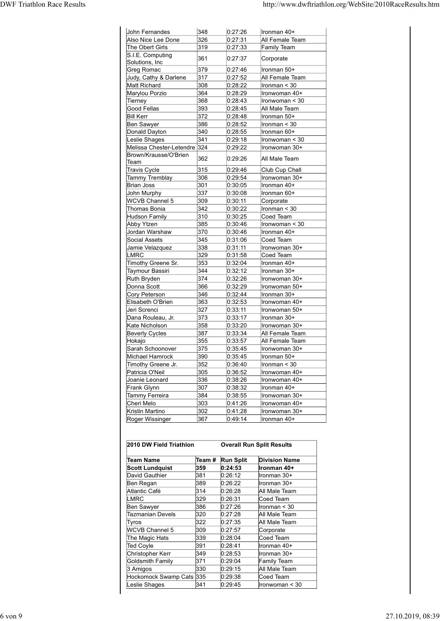| <b>DWF Triathlon Race Results</b> |                                            |                      |                    | http://www.dwftriathlon.org/WebSite/2010RaceResults.htm |
|-----------------------------------|--------------------------------------------|----------------------|--------------------|---------------------------------------------------------|
|                                   |                                            |                      |                    |                                                         |
|                                   | John Fernandes                             | 348                  | 0:27:26            | Ironman 40+                                             |
|                                   | Also Nice Lee Done<br>The Obert Girls      | 326<br>319           | 0:27:31<br>0:27:33 | All Female Team<br>Family Team                          |
|                                   | S.I.E. Computing                           | 361                  | 0:27:37            | Corporate                                               |
|                                   | Solutions, Inc.<br>Greg Romac              | 379                  | 0:27:46            | Ironman 50+                                             |
|                                   | Judy, Cathy & Darlene                      | 317                  | 0:27:52            | All Female Team                                         |
|                                   | Matt Richard                               | 308                  | 0:28:22            | Ironman < 30                                            |
|                                   | Marylou Porzio<br>Tierney                  | 364<br>368           | 0:28:29<br>0:28:43 | Ironwoman 40+<br>Ironwoman < 30                         |
|                                   | Good Fellas                                | 393                  | 0:28:45            | All Male Team                                           |
|                                   | <b>Bill Kerr</b>                           | 372                  | 0:28:48            | Ironman 50+                                             |
|                                   | Ben Sawyer<br>Donald Dayton                | 386<br>340           | 0:28:52<br>0:28:55 | Ironman < 30<br>Ironman 60+                             |
|                                   | Leslie Shages                              | 341                  | 0:29:18            | Ironwoman < 30                                          |
|                                   | Melissa Chester-Letendre 324               |                      | 0:29:22            | Ironwoman 30+                                           |
|                                   | Brown/Krausse/O'Brien<br>Team              | 362                  | 0:29:26            | All Male Team                                           |
|                                   | Travis Cycle                               | 315                  | 0:29:46            | Club Cup Chall                                          |
|                                   | <b>Tammy Tremblay</b><br>Brian Joss        | 306<br>301           | 0:29:54            | Ironwoman 30+<br>Ironman 40+                            |
|                                   | John Murphy                                | 337                  | 0:30:05<br>0:30:08 | Ironman 60+                                             |
|                                   | <b>WCVB Channel 5</b>                      | 309                  | 0:30:11            | Corporate                                               |
|                                   | Thomas Bonia<br>Hudson Family              | 342<br>$ 310\rangle$ | 0:30:22<br>0:30:25 | Ironman < 30<br>Coed Team                               |
|                                   | Abby Ytzen                                 | 385                  | 0:30:46            | Ironwoman < 30                                          |
|                                   | Jordan Warshaw                             | 370                  | 0:30:46            | Ironman 40+                                             |
|                                   | Social Assets<br>Jamie Velazquez           | 345<br>338           | 0:31:06<br>0:31:11 | Coed Team<br>Ironwoman 30+                              |
|                                   | LMRC                                       | 329                  | 0:31:58            | Coed Team                                               |
|                                   | Timothy Greene Sr.                         | 353                  | 0:32:04            | Ironman 40+                                             |
|                                   | Taymour Bassiri<br>Ruth Bryden             | 344<br>374           | 0:32:12<br>0:32:26 | Ironman 30+<br>Ironwoman 30+                            |
|                                   | Donna Scott                                | 366                  | 0:32:29            | Ironwoman 50+                                           |
|                                   | Cory Peterson                              | 346                  | 0:32:44            | Ironman 30+                                             |
|                                   | Elisabeth O'Brien<br>Jeri Screnci          | 363<br>327           | 0:32:53<br>0:33:11 | Ironwoman 40+<br>Ironwoman 50+                          |
|                                   | Dana Rouleau, Jr.                          | 373                  | 0:33:17            | Ironman 30+                                             |
|                                   | Kate Nicholson                             | 358                  | 0:33:20            | Ironwoman 30+                                           |
|                                   | <b>Beverly Cycles</b><br>Hokajo            | 387<br>355           | 0:33:34<br>0:33:57 | All Female Team<br>All Female Team                      |
|                                   | Sarah Schoonover                           | 375                  | 0:35:45            | Ironwoman 30+                                           |
|                                   | Michael Hamrock                            | 390                  | 0:35:45            | Ironman 50+                                             |
|                                   | Timothy Greene Jr.<br>Patricia O'Neil      | 352<br>305           | 0:36:40<br>0:36:52 | Ironman < 30<br>Ironwoman 40+                           |
|                                   | Joanie Leonard                             | 336                  | 0:38:26            | Ironwoman 40+                                           |
|                                   | Frank Glynn                                | 307<br>384           | 0:38:32<br>0:38:55 | Ironman 40+<br>Ironwoman 30+                            |
|                                   | Tammy Ferreira<br>Cheri Melo               | 303                  | 0:41:26            | Ironwoman 40+                                           |
|                                   | Kristin Martino                            | 302                  | 0:41:28            | Ironwoman 30+                                           |
|                                   | Roger Wissinger<br>2010 DW Field Triathlon | 367                  | 0:49:14            | Ironman 40+<br><b>Overall Run Split Results</b>         |
|                                   | <b>Team Name</b>                           |                      | Team # Run Split   | <b>Division Name</b>                                    |
|                                   | <b>Scott Lundquist</b>                     | 359                  | 0:24:53            | Ironman 40+                                             |
|                                   | David Gauthier<br>Ben Regan                | 381<br>389           | 0:26:12<br>0:26:22 | Ironman 30+<br>Ironman 30+                              |
|                                   | Atlantic Café                              | 314                  | 0:26:28            | All Male Team                                           |
|                                   | <b>LMRC</b>                                | 329                  | 0:26:31            | Coed Team                                               |
|                                   | Ben Sawyer                                 | 386                  | 0:27:26<br>0:27:28 | Ironman < 30<br>All Male Team                           |
|                                   | <b>Tazmanian Devels</b>                    | 320                  |                    |                                                         |
|                                   |                                            |                      |                    |                                                         |
|                                   | Tyros<br><b>WCVB Channel 5</b>             | 322<br>309           | 0:27:35<br>0:27:57 | All Male Team<br>Corporate                              |
|                                   | The Magic Hats<br>Ted Coyle                | 339<br>391           | 0:28:04<br>0:28:41 | Coed Team<br>Ironman 40+                                |

| 358                             | 0.33:20                                                                                                         | Ironwoman 30+                                                                                                                                                                         |
|---------------------------------|-----------------------------------------------------------------------------------------------------------------|---------------------------------------------------------------------------------------------------------------------------------------------------------------------------------------|
|                                 |                                                                                                                 | All Female Team                                                                                                                                                                       |
|                                 |                                                                                                                 | All Female Team                                                                                                                                                                       |
|                                 |                                                                                                                 | Ironwoman 30+                                                                                                                                                                         |
|                                 |                                                                                                                 | Ironman 50+                                                                                                                                                                           |
|                                 |                                                                                                                 | Ironman $<$ 30                                                                                                                                                                        |
|                                 |                                                                                                                 | Ironwoman 40+                                                                                                                                                                         |
|                                 |                                                                                                                 | Ironwoman 40+                                                                                                                                                                         |
|                                 |                                                                                                                 | Ironman 40+                                                                                                                                                                           |
|                                 |                                                                                                                 | Ironwoman 30+                                                                                                                                                                         |
|                                 |                                                                                                                 | Ironwoman 40+                                                                                                                                                                         |
|                                 |                                                                                                                 | Ironwoman 30+                                                                                                                                                                         |
|                                 |                                                                                                                 | Ironman 40+                                                                                                                                                                           |
| 2010 DW Field Triathlon         |                                                                                                                 | <b>Overall Run Split Results</b>                                                                                                                                                      |
|                                 |                                                                                                                 | <b>Division Name</b>                                                                                                                                                                  |
|                                 |                                                                                                                 | Ironman 40+                                                                                                                                                                           |
|                                 |                                                                                                                 | Ironman 30+                                                                                                                                                                           |
|                                 |                                                                                                                 | Ironman 30+                                                                                                                                                                           |
|                                 | 0:26:28                                                                                                         | All Male Team                                                                                                                                                                         |
| 314                             |                                                                                                                 |                                                                                                                                                                                       |
| 329                             | 0:26:31                                                                                                         | Coed Team                                                                                                                                                                             |
| 386                             | 0.27:26                                                                                                         | Ironman < 30                                                                                                                                                                          |
| 320                             | 0.27.28                                                                                                         | All Male Team                                                                                                                                                                         |
| 322                             | 0:27:35                                                                                                         | All Male Team                                                                                                                                                                         |
| 309                             | 0.27:57                                                                                                         | Corporate                                                                                                                                                                             |
| 339                             | 0.28:04                                                                                                         | Coed Team                                                                                                                                                                             |
| 391                             | 0:28:41                                                                                                         | Ironman 40+                                                                                                                                                                           |
| 349                             | 0.28:53                                                                                                         | Ironman 30+                                                                                                                                                                           |
| 371                             | 0:29:04                                                                                                         | Family Team                                                                                                                                                                           |
| 330                             | 0:29:15                                                                                                         | All Male Team                                                                                                                                                                         |
| Hockomock Swamp Cats 335<br>341 | 0.29.38<br>0.29.45                                                                                              | Coed Team<br>Ironwoman $<$ 30                                                                                                                                                         |
|                                 | 387<br>355<br>375<br>390<br>352<br>305<br>336<br>307<br>384<br>303<br>302<br>367<br>Team #<br>359<br>381<br>389 | 0:33:34<br>0:33:57<br>0:35:45<br>0:35:45<br>0.36:40<br>0:36:52<br>0.38.26<br>0:38:32<br>0.38.55<br>0.41.26<br>0.41.28<br>0.49.14<br><b>Run Split</b><br>0:24:53<br>0:26:12<br>0.26.22 |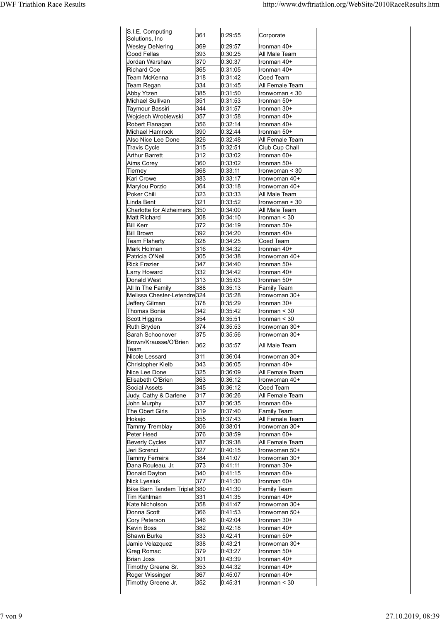|                                             |            |                    | http://www.dwftriathlon.org/WebSite/2010RaceResults.htm |
|---------------------------------------------|------------|--------------------|---------------------------------------------------------|
|                                             |            |                    |                                                         |
| S.I.E. Computing                            | 361        | 0:29:55            | Corporate                                               |
| Solutions, Inc.<br><b>Wesley DeNering</b>   | 369        | 0:29:57            | Ironman 40+                                             |
| Good Fellas<br>Jordan Warshaw               | 393<br>370 | 0:30:25<br>0:30:37 | All Male Team<br>Ironman 40+                            |
| Richard Coe                                 | 365        | 0:31:05            | Ironman 40+                                             |
| Team McKenna<br>Team Regan                  | 318<br>334 | 0:31:42<br>0:31:45 | Coed Team<br>All Female Team                            |
| Abby Ytzen<br>Michael Sullivan              | 385<br>351 | 0:31:50<br>0:31:53 | Ironwoman < 30<br>Ironman 50+                           |
| Taymour Bassiri                             | 344        | 0:31:57            | Ironman 30+                                             |
| Wojciech Wroblewski<br>Robert Flanagan      | 357<br>356 | 0:31:58<br>0:32:14 | Ironman 40+<br>Ironman 40+                              |
| Michael Hamrock                             | 390        | 0:32:44            | Ironman 50+                                             |
| Also Nice Lee Done<br>Travis Cycle          | 326<br>315 | 0:32:48<br>0:32:51 | All Female Team<br>Club Cup Chall                       |
| Arthur Barrett<br>Aims Corey                | 312<br>360 | 0:33:02<br>0:33:02 | Ironman 60+<br>Ironman 50+                              |
| Tierney                                     | 368        | 0:33:11            | Ironwoman < 30                                          |
| Kari Crowe<br>Marylou Porzio                | 383<br>364 | 0:33:17<br>0:33:18 | Ironwoman 40+<br>Ironwoman 40+                          |
| Poker Chili<br>Linda Bent                   | 323<br>321 | 0:33:33<br>0:33:52 | All Male Team<br>Ironwoman < 30                         |
| Charlotte for Alzheimers                    | 350        | 0:34:00            | All Male Team                                           |
| Matt Richard<br><b>Bill Kerr</b>            | 308<br>372 | 0:34:10<br>0:34:19 | Ironman < 30<br>Ironman 50+                             |
| <b>Bill Brown</b>                           | 392        | 0:34:20            | Ironman 40+                                             |
| <b>Team Flaherty</b><br>Mark Holman         | 328<br>316 | 0:34:25<br>0:34:32 | Coed Team<br>Ironman 40+                                |
| Patricia O'Neil                             | 305<br>347 | 0:34:38            | Ironwoman 40+                                           |
| <b>Rick Frazier</b><br>Larry Howard         | 332        | 0:34:40<br>0:34:42 | Ironman 50+<br>Ironman 40+                              |
| Donald West<br>All In The Family            | 313<br>388 | 0:35:03<br>0:35:13 | Ironman 50+<br>Family Team                              |
| Melissa Chester-Letendre324                 |            | 0:35:28            | Ironwoman 30+                                           |
| Jeffery Gilman<br>Thomas Bonia              | 378<br>342 | 0:35:29<br>0:35:42 | Ironman 30+<br>Ironman $<$ 30                           |
| Scott Higgins<br>Ruth Bryden                | 354<br>374 | 0:35:51<br>0:35:53 | Ironman < 30<br>Ironwoman 30+                           |
| Sarah Schoonover                            | 375        | 0:35:56            | Ironwoman 30+                                           |
| Brown/Krausse/O'Brien<br>Team               | 362        | 0:35:57            | All Male Team                                           |
| Nicole Lessard                              | 311<br>343 | 0:36:04            | Ironwoman 30+                                           |
| Christopher Kielb<br>Nice Lee Done          | 325        | 0:36:05<br>0:36:09 | Ironman 40+<br>All Female Team                          |
| Elisabeth O'Brien<br>Social Assets          | 363<br>345 | 0:36:12<br>0:36:12 | Ironwoman 40+<br>Coed Team                              |
| Judy, Cathy & Darlene                       | 317        | 0:36:26            | All Female Team                                         |
| John Murphy<br>The Obert Girls              | 337<br>319 | 0:36:35<br>0:37:40 | Ironman 60+<br>Family Team                              |
| Hokajo                                      | 355        | 0:37:43            | All Female Team                                         |
| Tammy Tremblay<br>Peter Heed                | 306<br>376 | 0:38:01<br>0:38:59 | Ironwoman 30+<br>Ironman 60+                            |
| Beverly Cycles<br>Jeri Screnci              | 387<br>327 | 0:39:38<br>0:40:15 | All Female Team<br>Ironwoman 50+                        |
| Tammy Ferreira                              | 384        | 0:41:07            | Ironwoman 30+                                           |
| Dana Rouleau, Jr.<br>Donald Dayton          | 373<br>340 | 0:41:11<br>0.41:15 | Ironman 30+<br>Ironman 60+                              |
| Nick Lyesiuk                                | 377        | 0:41:30            | Ironman 60+                                             |
| Bike Barn Tandem Triplet 380<br>Tim Kahlman | 331        | 0:41:30<br>0:41:35 | Family Team<br>Ironman 40+                              |
| Kate Nicholson                              | 358        | 0:41:47            | Ironwoman 30+                                           |
| Donna Scott<br>Cory Peterson                | 366<br>346 | 0.41.53<br>0:42:04 | Ironwoman 50+<br>Ironman 30+                            |
| Kevin Boss                                  | 382        | 0:42:18            | Ironman 40+                                             |
| Shawn Burke<br>Jamie Velazquez              | 333<br>338 | 0:42:41<br>0:43:21 | Ironman 50+<br>Ironwoman 30+                            |
| <b>Greg Romac</b>                           | 379        | 0:43:27            | Ironman 50+                                             |
| Brian Joss<br>Timothy Greene Sr.            | 301<br>353 | 0:43:39<br>0:44:32 | Ironman 40+<br>Ironman 40+                              |
| Roger Wissinger                             | 367        |                    | Ironman 40+                                             |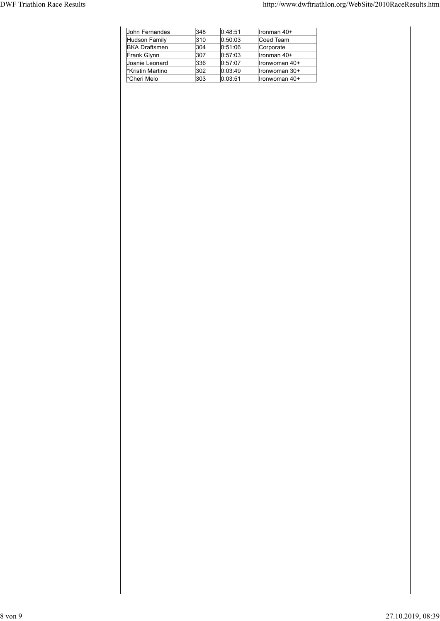|                                   |                                        |            |                    | http://www.dwftriathlon.org/WebSite/2010RaceResults.htm |  |  |
|-----------------------------------|----------------------------------------|------------|--------------------|---------------------------------------------------------|--|--|
|                                   |                                        |            |                    |                                                         |  |  |
|                                   |                                        |            |                    |                                                         |  |  |
|                                   | John Fernandes                         | $348$      | 0:48:51            | Ironman 40+                                             |  |  |
|                                   | <b>Hudson Family</b>                   | 310        | 0:50:03            | Coed Team                                               |  |  |
|                                   | <b>BKA Draftsmen</b>                   | 304        | 0:51:06            | Corporate                                               |  |  |
|                                   | Frank Glynn                            | 307        | 0:57:03            | Ironman 40+                                             |  |  |
|                                   | Joanie Leonard                         | 336        | 0:57:07            | Ironwoman 40+                                           |  |  |
| <b>DWF Triathlon Race Results</b> | <b>*Kristin Martino</b><br>*Cheri Melo | 302<br>303 | 0:03:49<br>0:03:51 | Ironwoman 30+<br>Ironwoman 40+                          |  |  |